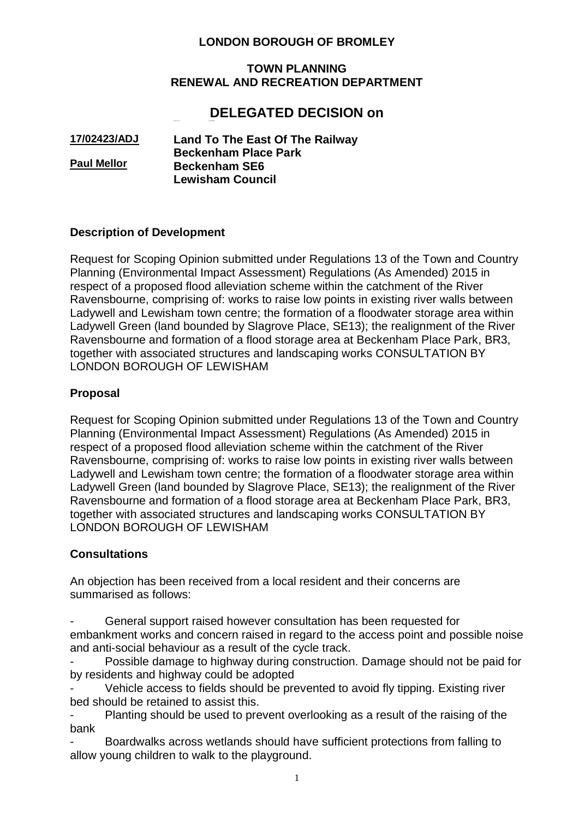# **LONDON BOROUGH OF BROMLEY**

#### **TOWN PLANNING RENEWAL AND RECREATION DEPARTMENT**

# **DELEGATED DECISION on**

**17/02423/ADJ Paul Mellor Land To The East Of The Railway Beckenham Place Park Beckenham SE6 Lewisham Council**

Application No : **17/02423/ADJ**

## **Description of Development**

Request for Scoping Opinion submitted under Regulations 13 of the Town and Country Planning (Environmental Impact Assessment) Regulations (As Amended) 2015 in respect of a proposed flood alleviation scheme within the catchment of the River Ravensbourne, comprising of: works to raise low points in existing river walls between Ladywell and Lewisham town centre; the formation of a floodwater storage area within Ladywell Green (land bounded by Slagrove Place, SE13); the realignment of the River Ravensbourne and formation of a flood storage area at Beckenham Place Park, BR3, together with associated structures and landscaping works CONSULTATION BY LONDON BOROUGH OF LEWISHAM

## **Proposal**

Request for Scoping Opinion submitted under Regulations 13 of the Town and Country Planning (Environmental Impact Assessment) Regulations (As Amended) 2015 in respect of a proposed flood alleviation scheme within the catchment of the River Ravensbourne, comprising of: works to raise low points in existing river walls between Ladywell and Lewisham town centre; the formation of a floodwater storage area within Ladywell Green (land bounded by Slagrove Place, SE13); the realignment of the River Ravensbourne and formation of a flood storage area at Beckenham Place Park, BR3, together with associated structures and landscaping works CONSULTATION BY LONDON BOROUGH OF LEWISHAM

## **Consultations**

An objection has been received from a local resident and their concerns are summarised as follows:

General support raised however consultation has been requested for embankment works and concern raised in regard to the access point and possible noise and anti-social behaviour as a result of the cycle track.

Possible damage to highway during construction. Damage should not be paid for by residents and highway could be adopted

Vehicle access to fields should be prevented to avoid fly tipping. Existing river bed should be retained to assist this.

Planting should be used to prevent overlooking as a result of the raising of the bank

Boardwalks across wetlands should have sufficient protections from falling to allow young children to walk to the playground.

1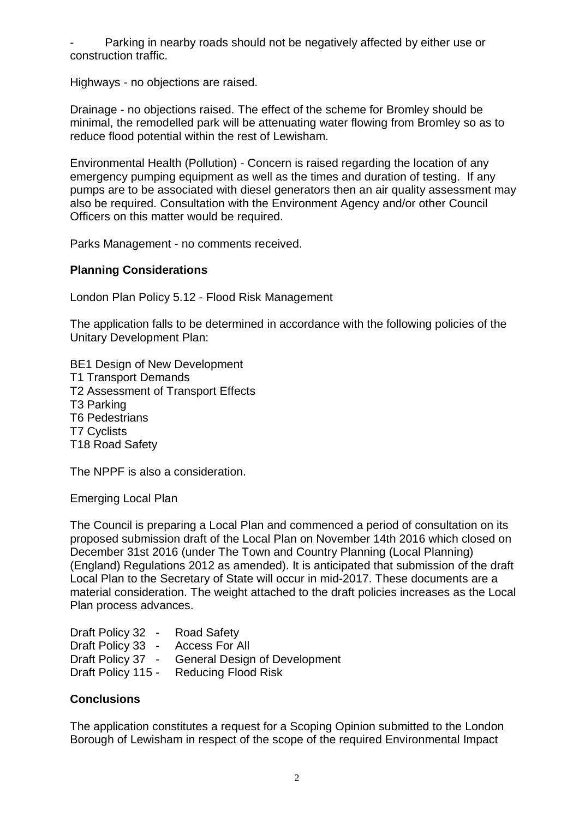Parking in nearby roads should not be negatively affected by either use or construction traffic.

Highways - no objections are raised.

Drainage - no objections raised. The effect of the scheme for Bromley should be minimal, the remodelled park will be attenuating water flowing from Bromley so as to reduce flood potential within the rest of Lewisham.

Environmental Health (Pollution) - Concern is raised regarding the location of any emergency pumping equipment as well as the times and duration of testing. If any pumps are to be associated with diesel generators then an air quality assessment may also be required. Consultation with the Environment Agency and/or other Council Officers on this matter would be required.

Parks Management - no comments received.

## **Planning Considerations**

London Plan Policy 5.12 - Flood Risk Management

The application falls to be determined in accordance with the following policies of the Unitary Development Plan:

BE1 Design of New Development T1 Transport Demands T2 Assessment of Transport Effects T3 Parking T6 Pedestrians

T7 Cyclists

T18 Road Safety

The NPPF is also a consideration.

Emerging Local Plan

The Council is preparing a Local Plan and commenced a period of consultation on its proposed submission draft of the Local Plan on November 14th 2016 which closed on December 31st 2016 (under The Town and Country Planning (Local Planning) (England) Regulations 2012 as amended). It is anticipated that submission of the draft Local Plan to the Secretary of State will occur in mid-2017. These documents are a material consideration. The weight attached to the draft policies increases as the Local Plan process advances.

Draft Policy 32 - Road Safety Draft Policy 33 - Access For All Draft Policy 37 - General Design of Development Draft Policy 115 - Reducing Flood Risk

## **Conclusions**

The application constitutes a request for a Scoping Opinion submitted to the London Borough of Lewisham in respect of the scope of the required Environmental Impact